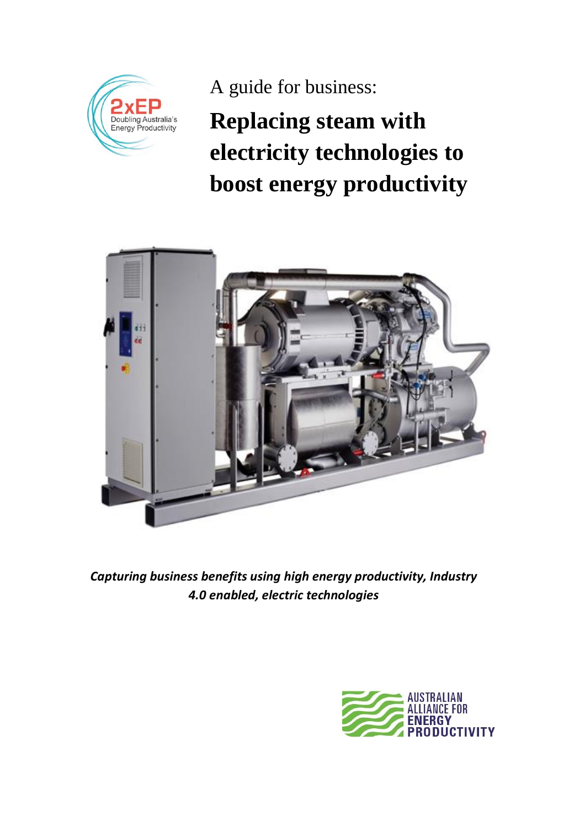

A guide for business:

**Replacing steam with electricity technologies to boost energy productivity** 



*Capturing business benefits using high energy productivity, Industry 4.0 enabled, electric technologies*

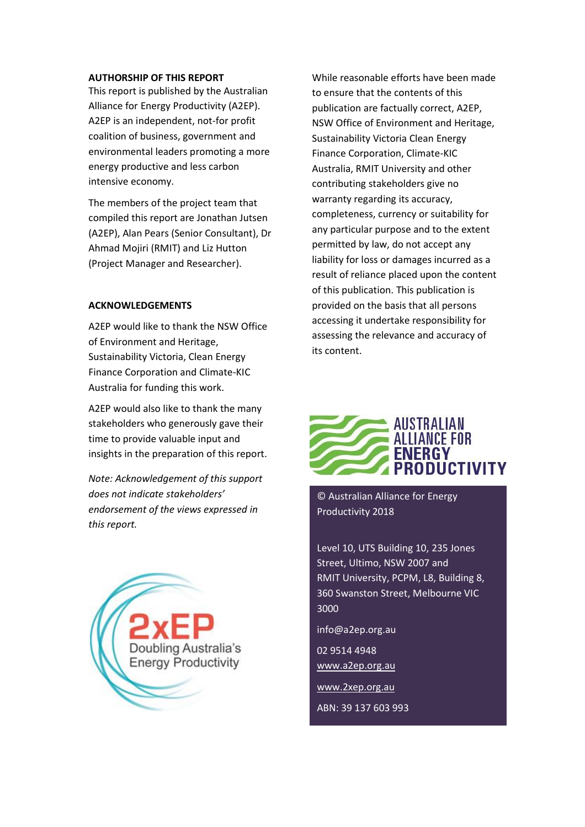#### **AUTHORSHIP OF THIS REPORT**

This report is published by the Australian Alliance for Energy Productivity (A2EP). A2EP is an independent, not-for profit coalition of business, government and environmental leaders promoting a more energy productive and less carbon intensive economy.

The members of the project team that compiled this report are Jonathan Jutsen (A2EP), Alan Pears (Senior Consultant), Dr Ahmad Mojiri (RMIT) and Liz Hutton (Project Manager and Researcher).

#### **ACKNOWLEDGEMENTS**

A2EP would like to thank the NSW Office of Environment and Heritage, Sustainability Victoria, Clean Energy Finance Corporation and Climate-KIC Australia for funding this work.

A2EP would also like to thank the many stakeholders who generously gave their time to provide valuable input and insights in the preparation of this report.

*Note: Acknowledgement of this support does not indicate stakeholders' endorsement of the views expressed in this report.*



While reasonable efforts have been made to ensure that the contents of this publication are factually correct, A2EP, NSW Office of Environment and Heritage, Sustainability Victoria Clean Energy Finance Corporation, Climate-KIC Australia, RMIT University and other contributing stakeholders give no warranty regarding its accuracy, completeness, currency or suitability for any particular purpose and to the extent permitted by law, do not accept any liability for loss or damages incurred as a result of reliance placed upon the content of this publication. This publication is provided on the basis that all persons accessing it undertake responsibility for assessing the relevance and accuracy of its content.



© Australian Alliance for Energy Productivity 2018

Level 10, UTS Building 10, 235 Jones Street, Ultimo, NSW 2007 and RMIT University, PCPM, L8, Building 8, 360 Swanston Street, Melbourne VIC 3000

info@a2ep.org.au

02 9514 4948 www.a2ep.org.au

www.2xep.org.au ABN: 39 137 603 993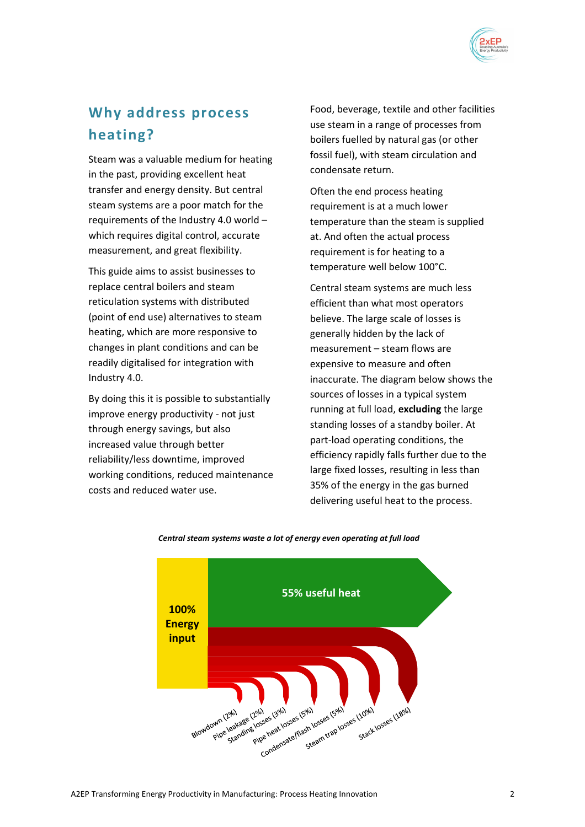

# **Why address process heating?**

Steam was a valuable medium for heating in the past, providing excellent heat transfer and energy density. But central steam systems are a poor match for the requirements of the Industry 4.0 world – which requires digital control, accurate measurement, and great flexibility.

This guide aims to assist businesses to replace central boilers and steam reticulation systems with distributed (point of end use) alternatives to steam heating, which are more responsive to changes in plant conditions and can be readily digitalised for integration with Industry 4.0.

By doing this it is possible to substantially improve energy productivity - not just through energy savings, but also increased value through better reliability/less downtime, improved working conditions, reduced maintenance costs and reduced water use.

Food, beverage, textile and other facilities use steam in a range of processes from boilers fuelled by natural gas (or other fossil fuel), with steam circulation and condensate return.

Often the end process heating requirement is at a much lower temperature than the steam is supplied at. And often the actual process requirement is for heating to a temperature well below 100°C.

Central steam systems are much less efficient than what most operators believe. The large scale of losses is generally hidden by the lack of measurement – steam flows are expensive to measure and often inaccurate. The diagram below shows the sources of losses in a typical system running at full load, **excluding** the large standing losses of a standby boiler. At part-load operating conditions, the efficiency rapidly falls further due to the large fixed losses, resulting in less than 35% of the energy in the gas burned delivering useful heat to the process.



*Central steam systems waste a lot of energy even operating at full load*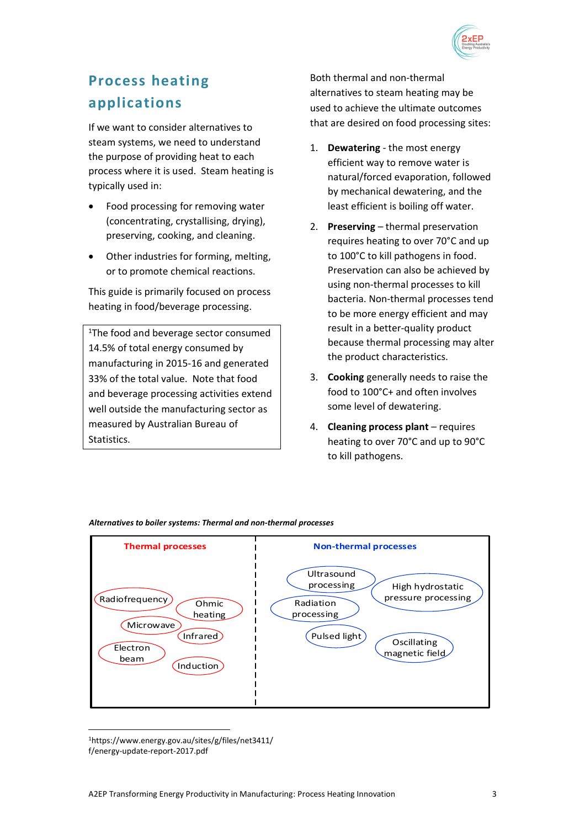

# **Process heating applications**

If we want to consider alternatives to steam systems, we need to understand the purpose of providing heat to each process where it is used. Steam heating is typically used in:

- Food processing for removing water (concentrating, crystallising, drying), preserving, cooking, and cleaning.
- Other industries for forming, melting, or to promote chemical reactions.

This guide is primarily focused on process heating in food/beverage processing.

<sup>1</sup>The food and beverage sector consumed 14.5% of total energy consumed by manufacturing in 2015-16 and generated 33% of the total value. Note that food and beverage processing activities extend well outside the manufacturing sector as measured by Australian Bureau of **Statistics** 

Both thermal and non-thermal alternatives to steam heating may be used to achieve the ultimate outcomes that are desired on food processing sites:

- 1. **Dewatering** the most energy efficient way to remove water is natural/forced evaporation, followed by mechanical dewatering, and the least efficient is boiling off water.
- 2. **Preserving** thermal preservation requires heating to over 70°C and up to 100°C to kill pathogens in food. Preservation can also be achieved by using non-thermal processes to kill bacteria. Non-thermal processes tend to be more energy efficient and may result in a better-quality product because thermal processing may alter the product characteristics.
- 3. **Cooking** generally needs to raise the food to 100°C+ and often involves some level of dewatering.
- 4. **Cleaning process plant** requires heating to over 70°C and up to 90°C to kill pathogens.



#### *Alternatives to boiler systems: Thermal and non-thermal processes*

 $\overline{a}$ <sup>1</sup>https://www.energy.gov.au/sites/g/files/net3411/ f/energy-update-report-2017.pdf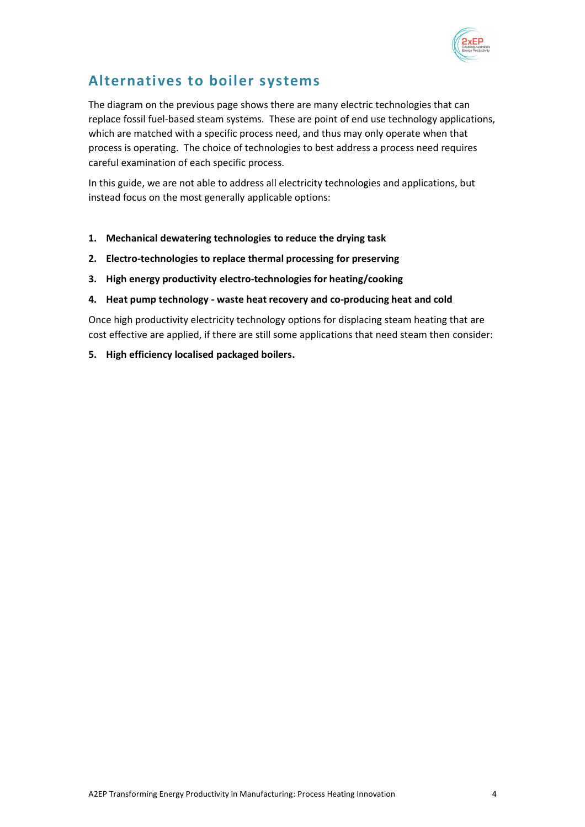

# **Alternatives to boiler systems**

The diagram on the previous page shows there are many electric technologies that can replace fossil fuel-based steam systems. These are point of end use technology applications, which are matched with a specific process need, and thus may only operate when that process is operating. The choice of technologies to best address a process need requires careful examination of each specific process.

In this guide, we are not able to address all electricity technologies and applications, but instead focus on the most generally applicable options:

- **1. Mechanical dewatering technologies to reduce the drying task**
- **2. Electro-technologies to replace thermal processing for preserving**
- **3. High energy productivity electro-technologies for heating/cooking**
- **4. Heat pump technology - waste heat recovery and co-producing heat and cold**

Once high productivity electricity technology options for displacing steam heating that are cost effective are applied, if there are still some applications that need steam then consider:

**5. High efficiency localised packaged boilers.**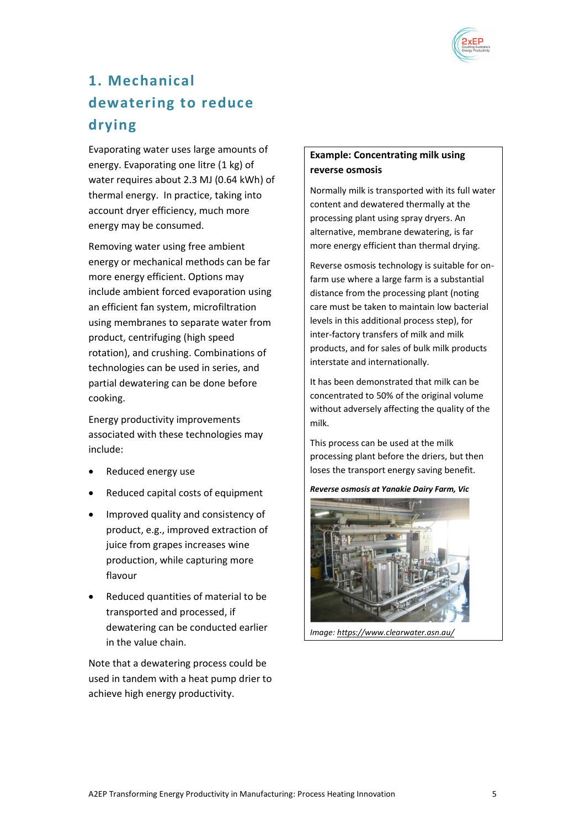

# **1. Mechanical dewatering to reduce drying**

Evaporating water uses large amounts of energy. Evaporating one litre (1 kg) of water requires about 2.3 MJ (0.64 kWh) of thermal energy. In practice, taking into account dryer efficiency, much more energy may be consumed.

Removing water using free ambient energy or mechanical methods can be far more energy efficient. Options may include ambient forced evaporation using an efficient fan system, microfiltration using membranes to separate water from product, centrifuging (high speed rotation), and crushing. Combinations of technologies can be used in series, and partial dewatering can be done before cooking.

Energy productivity improvements associated with these technologies may include:

- Reduced energy use
- Reduced capital costs of equipment
- Improved quality and consistency of product, e.g., improved extraction of juice from grapes increases wine production, while capturing more flavour
- Reduced quantities of material to be transported and processed, if dewatering can be conducted earlier in the value chain.

Note that a dewatering process could be used in tandem with a heat pump drier to achieve high energy productivity.

## **Example: Concentrating milk using reverse osmosis**

Normally milk is transported with its full water content and dewatered thermally at the processing plant using spray dryers. An alternative, membrane dewatering, is far more energy efficient than thermal drying.

Reverse osmosis technology is suitable for onfarm use where a large farm is a substantial distance from the processing plant (noting care must be taken to maintain low bacterial levels in this additional process step), for inter-factory transfers of milk and milk products, and for sales of bulk milk products interstate and internationally.

It has been demonstrated that milk can be concentrated to 50% of the original volume without adversely affecting the quality of the milk.

This process can be used at the milk processing plant before the driers, but then loses the transport energy saving benefit.

*Reverse osmosis at Yanakie Dairy Farm, Vic*



*Image[: https://www.clearwater.asn.au/](https://www.clearwater.asn.au/resource-library/smart-water-fund-projects/on-farm-milk-de-watering-system-for-reuse.php)*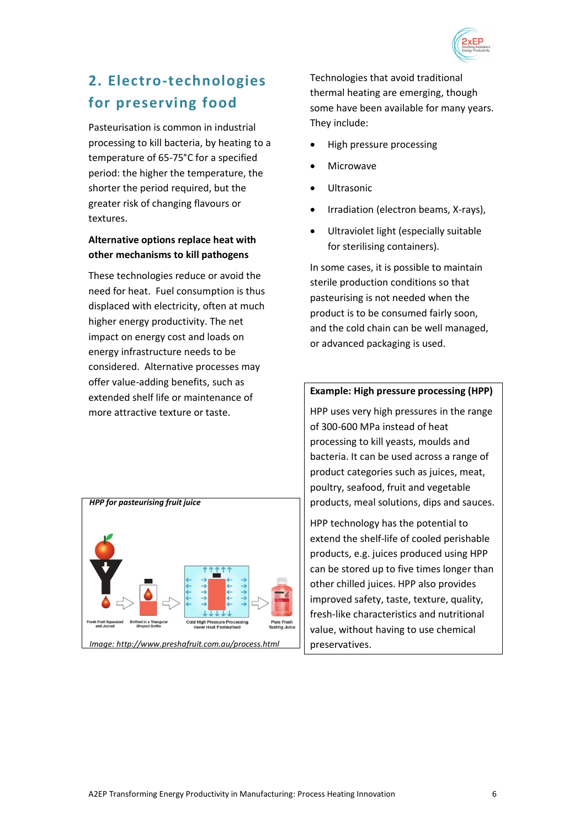

# **2. Electro-technologies for preserving food**

Pasteurisation is common in industrial processing to kill bacteria, by heating to a temperature of 65-75°C for a specified period: the higher the temperature, the shorter the period required, but the greater risk of changing flavours or textures.

## **Alternative options replace heat with other mechanisms to kill pathogens**

These technologies reduce or avoid the need for heat. Fuel consumption is thus displaced with electricity, often at much higher energy productivity. The net impact on energy cost and loads on energy infrastructure needs to be considered. Alternative processes may offer value-adding benefits, such as extended shelf life or maintenance of more attractive texture or taste.



Technologies that avoid traditional thermal heating are emerging, though some have been available for many years. They include:

- High pressure processing
- Microwave
- **Ultrasonic**
- Irradiation (electron beams, X-rays),
- Ultraviolet light (especially suitable for sterilising containers).

In some cases, it is possible to maintain sterile production conditions so that pasteurising is not needed when the product is to be consumed fairly soon, and the cold chain can be well managed, or advanced packaging is used.

### **Example: High pressure processing (HPP)**

HPP uses very high pressures in the range of 300-600 MPa instead of heat processing to kill yeasts, moulds and bacteria. It can be used across a range of product categories such as juices, meat, poultry, seafood, fruit and vegetable products, meal solutions, dips and sauces.

HPP technology has the potential to extend the shelf-life of cooled perishable products, e.g. juices produced using HPP can be stored up to five times longer than other chilled juices. HPP also provides improved safety, taste, texture, quality, fresh-like characteristics and nutritional value, without having to use chemical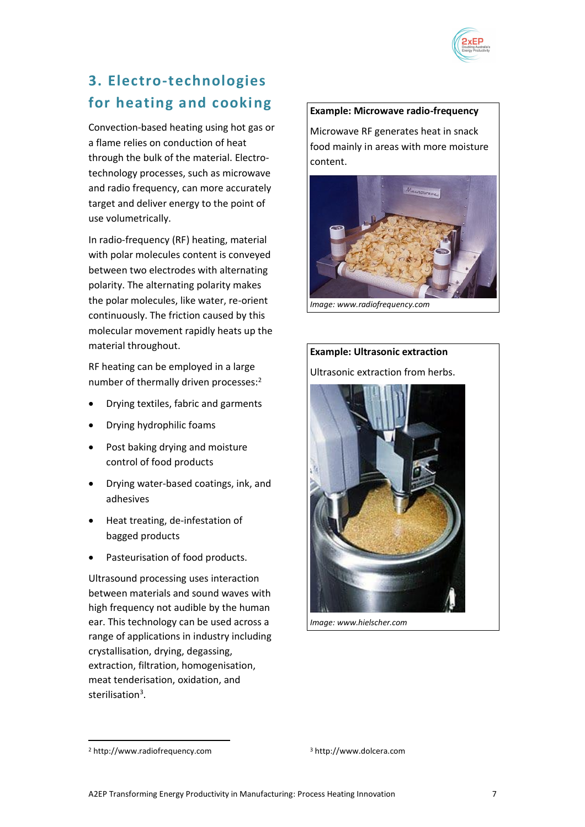

# **3. Electro-technologies for heating and cooking**

Convection-based heating using hot gas or a flame relies on conduction of heat through the bulk of the material. Electrotechnology processes, such as microwave and radio frequency, can more accurately target and deliver energy to the point of use volumetrically.

In radio-frequency (RF) heating, material with polar molecules content is conveyed between two electrodes with alternating polarity. The alternating polarity makes the polar molecules, like water, re-orient continuously. The friction caused by this molecular movement rapidly heats up the material throughout.

RF heating can be employed in a large number of thermally driven processes:<sup>2</sup>

- Drying textiles, fabric and garments
- Drying hydrophilic foams
- Post baking drying and moisture control of food products
- Drying water-based coatings, ink, and adhesives
- Heat treating, de-infestation of bagged products
- Pasteurisation of food products.

Ultrasound processing uses interaction between materials and sound waves with high frequency not audible by the human ear. This technology can be used across a range of applications in industry including crystallisation, drying, degassing, extraction, filtration, homogenisation, meat tenderisation, oxidation, and sterilisation<sup>3</sup>.

### **Example: Microwave radio-frequency**

Microwave RF generates heat in snack food mainly in areas with more moisture content.





*Image: www.hielscher.com* 

l

<sup>2</sup> http://www.radiofrequency.com

<sup>3</sup> http://www.dolcera.com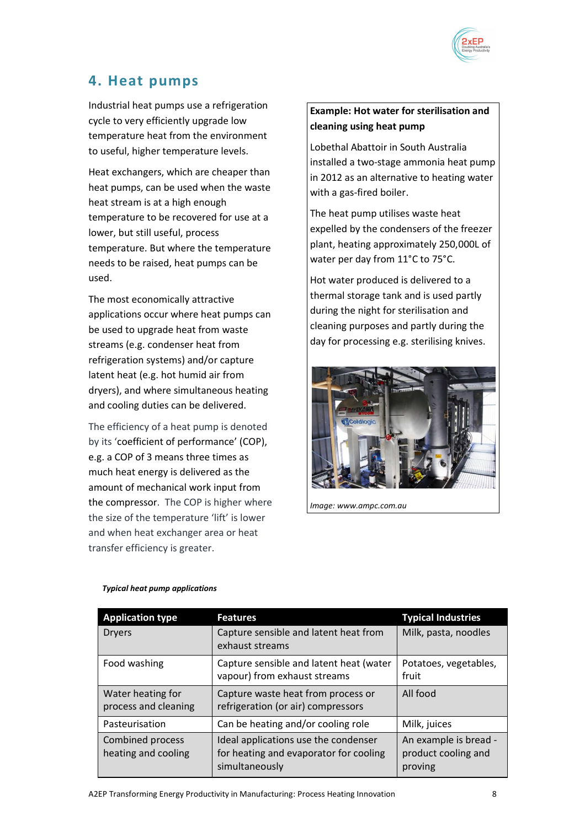

# **4. Heat pumps**

Industrial heat pumps use a refrigeration cycle to very efficiently upgrade low temperature heat from the environment to useful, higher temperature levels.

Heat exchangers, which are cheaper than heat pumps, can be used when the waste heat stream is at a high enough temperature to be recovered for use at a lower, but still useful, process temperature. But where the temperature needs to be raised, heat pumps can be used.

The most economically attractive applications occur where heat pumps can be used to upgrade heat from waste streams (e.g. condenser heat from refrigeration systems) and/or capture latent heat (e.g. hot humid air from dryers), and where simultaneous heating and cooling duties can be delivered.

The efficiency of a heat pump is denoted by its 'coefficient of performance' (COP), e.g. a COP of 3 means three times as much heat energy is delivered as the amount of mechanical work input from the compressor. The COP is higher where the size of the temperature 'lift' is lower and when heat exchanger area or heat transfer efficiency is greater.

# **Example: Hot water for sterilisation and cleaning using heat pump**

Lobethal Abattoir in South Australia installed a two-stage ammonia heat pump in 2012 as an alternative to heating water with a gas-fired boiler.

The heat pump utilises waste heat expelled by the condensers of the freezer plant, heating approximately 250,000L of water per day from 11°C to 75°C.

Hot water produced is delivered to a thermal storage tank and is used partly during the night for sterilisation and cleaning purposes and partly during the day for processing e.g. sterilising knives.



*Image: www.ampc.com.au*

| <b>Application type</b>                        | <b>Features</b>                                                                                  | <b>Typical Industries</b>                               |
|------------------------------------------------|--------------------------------------------------------------------------------------------------|---------------------------------------------------------|
| <b>Dryers</b>                                  | Capture sensible and latent heat from<br>exhaust streams                                         | Milk, pasta, noodles                                    |
| Food washing                                   | Capture sensible and latent heat (water<br>vapour) from exhaust streams                          | Potatoes, vegetables,<br>fruit                          |
| Water heating for<br>process and cleaning      | Capture waste heat from process or<br>refrigeration (or air) compressors                         | All food                                                |
| Pasteurisation                                 | Can be heating and/or cooling role                                                               | Milk, juices                                            |
| <b>Combined process</b><br>heating and cooling | Ideal applications use the condenser<br>for heating and evaporator for cooling<br>simultaneously | An example is bread -<br>product cooling and<br>proving |

#### *Typical heat pump applications*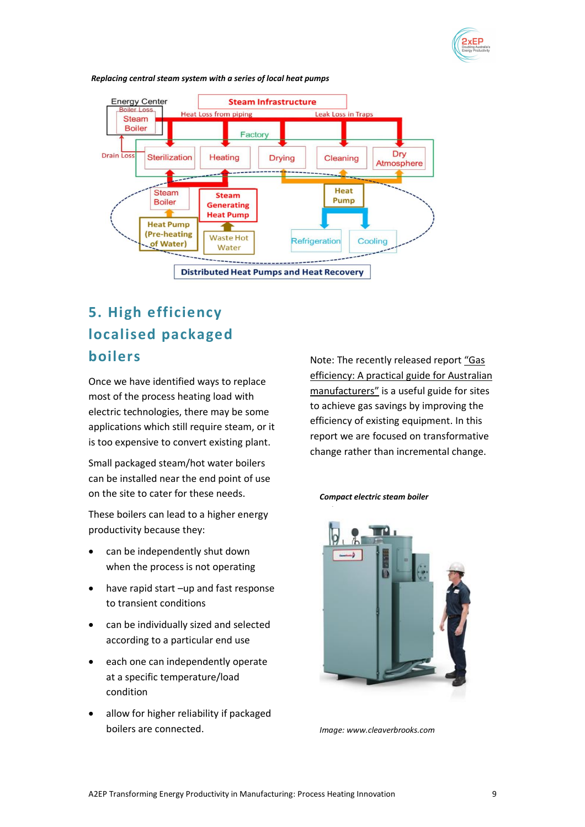



*Replacing central steam system with a series of local heat pumps*

# **5. High efficiency localised packaged boilers**

Once we have identified ways to replace most of the process heating load with electric technologies, there may be some applications which still require steam, or it is too expensive to convert existing plant.

Small packaged steam/hot water boilers can be installed near the end point of use on the site to cater for these needs.

These boilers can lead to a higher energy productivity because they:

- can be independently shut down when the process is not operating
- have rapid start -up and fast response to transient conditions
- can be individually sized and selected according to a particular end use
- each one can independently operate at a specific temperature/load condition
- allow for higher reliability if packaged boilers are connected.

Note: The recently released report ["Gas](http://www.eec.org.au/policy-advocacy/projects-partnerships/projects#/projects)  efficiency: A practical guide for Australian [manufacturers"](http://www.eec.org.au/policy-advocacy/projects-partnerships/projects#/projects) is a useful guide for sites to achieve gas savings by improving the efficiency of existing equipment. In this report we are focused on transformative change rather than incremental change.

#### *Compact electric steam boiler*



*Image: www.cleaverbrooks.com*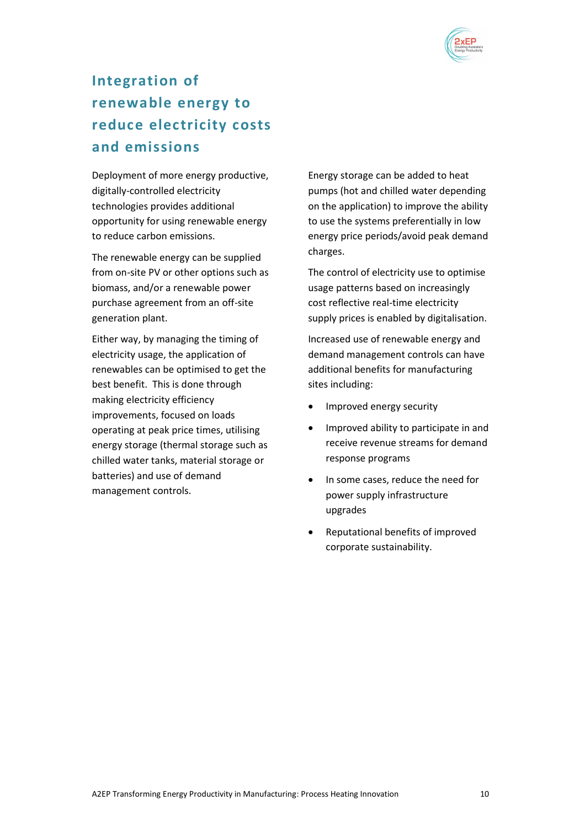

# **Integration of renewable energy to reduce electricity costs and emissions**

Deployment of more energy productive, digitally-controlled electricity technologies provides additional opportunity for using renewable energy to reduce carbon emissions.

The renewable energy can be supplied from on-site PV or other options such as biomass, and/or a renewable power purchase agreement from an off-site generation plant.

Either way, by managing the timing of electricity usage, the application of renewables can be optimised to get the best benefit. This is done through making electricity efficiency improvements, focused on loads operating at peak price times, utilising energy storage (thermal storage such as chilled water tanks, material storage or batteries) and use of demand management controls.

Energy storage can be added to heat pumps (hot and chilled water depending on the application) to improve the ability to use the systems preferentially in low energy price periods/avoid peak demand charges.

The control of electricity use to optimise usage patterns based on increasingly cost reflective real-time electricity supply prices is enabled by digitalisation.

Increased use of renewable energy and demand management controls can have additional benefits for manufacturing sites including:

- Improved energy security
- Improved ability to participate in and receive revenue streams for demand response programs
- In some cases, reduce the need for power supply infrastructure upgrades
- Reputational benefits of improved corporate sustainability.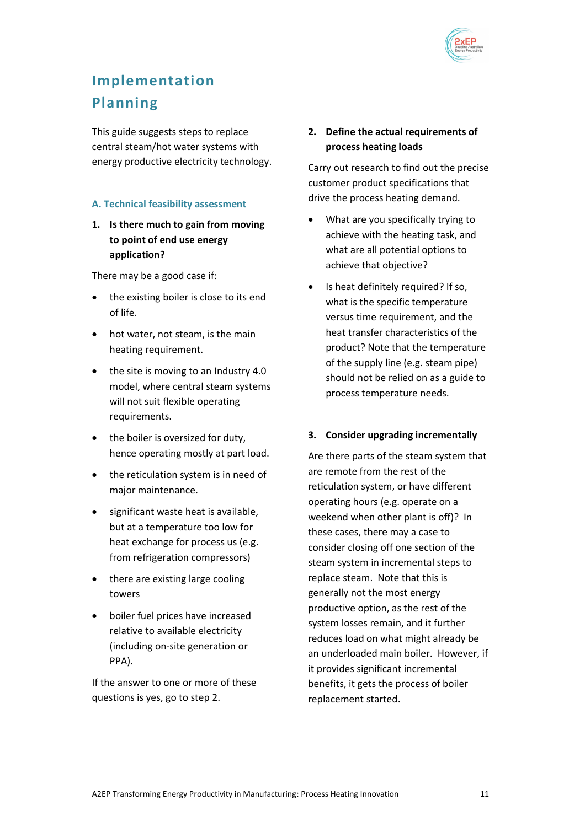

# **Implementation Planning**

This guide suggests steps to replace central steam/hot water systems with energy productive electricity technology.

### **A. Technical feasibility assessment**

**1. Is there much to gain from moving to point of end use energy application?**

There may be a good case if:

- the existing boiler is close to its end of life.
- hot water, not steam, is the main heating requirement.
- the site is moving to an Industry 4.0 model, where central steam systems will not suit flexible operating requirements.
- the boiler is oversized for duty, hence operating mostly at part load.
- the reticulation system is in need of major maintenance.
- significant waste heat is available, but at a temperature too low for heat exchange for process us (e.g. from refrigeration compressors)
- there are existing large cooling towers
- boiler fuel prices have increased relative to available electricity (including on-site generation or PPA).

If the answer to one or more of these questions is yes, go to step 2.

## **2. Define the actual requirements of process heating loads**

Carry out research to find out the precise customer product specifications that drive the process heating demand.

- What are you specifically trying to achieve with the heating task, and what are all potential options to achieve that objective?
- Is heat definitely required? If so, what is the specific temperature versus time requirement, and the heat transfer characteristics of the product? Note that the temperature of the supply line (e.g. steam pipe) should not be relied on as a guide to process temperature needs.

### **3. Consider upgrading incrementally**

Are there parts of the steam system that are remote from the rest of the reticulation system, or have different operating hours (e.g. operate on a weekend when other plant is off)? In these cases, there may a case to consider closing off one section of the steam system in incremental steps to replace steam. Note that this is generally not the most energy productive option, as the rest of the system losses remain, and it further reduces load on what might already be an underloaded main boiler. However, if it provides significant incremental benefits, it gets the process of boiler replacement started.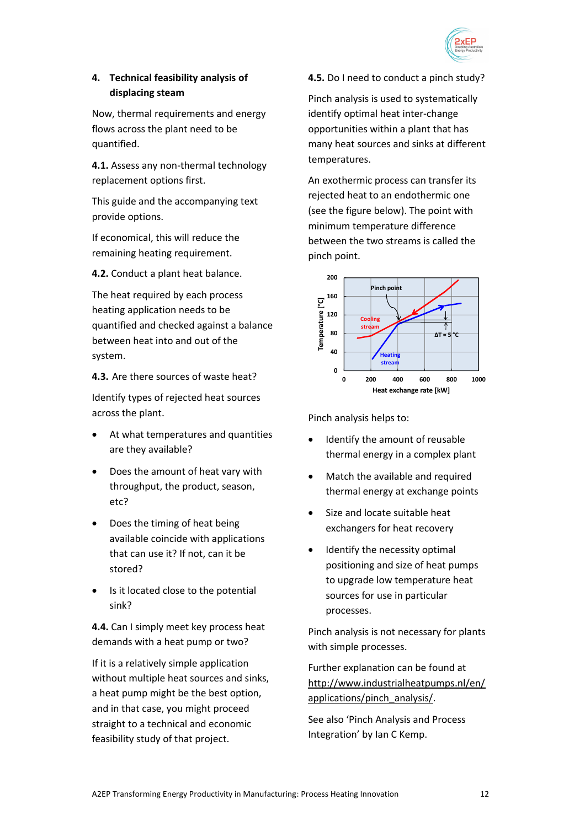

# **4. Technical feasibility analysis of displacing steam**

Now, thermal requirements and energy flows across the plant need to be quantified.

**4.1.** Assess any non-thermal technology replacement options first.

This guide and the accompanying text provide options.

If economical, this will reduce the remaining heating requirement.

**4.2.** Conduct a plant heat balance.

The heat required by each process heating application needs to be quantified and checked against a balance between heat into and out of the system.

**4.3.** Are there sources of waste heat?

Identify types of rejected heat sources across the plant.

- At what temperatures and quantities are they available?
- Does the amount of heat vary with throughput, the product, season, etc?
- Does the timing of heat being available coincide with applications that can use it? If not, can it be stored?
- Is it located close to the potential sink?

**4.4.** Can I simply meet key process heat demands with a heat pump or two?

If it is a relatively simple application without multiple heat sources and sinks, a heat pump might be the best option, and in that case, you might proceed straight to a technical and economic feasibility study of that project.

**4.5.** Do I need to conduct a pinch study?

Pinch analysis is used to systematically identify optimal heat inter-change opportunities within a plant that has many heat sources and sinks at different temperatures.

An exothermic process can transfer its rejected heat to an endothermic one (see the figure below). The point with minimum temperature difference between the two streams is called the pinch point.



Pinch analysis helps to:

- Identify the amount of reusable thermal energy in a complex plant
- Match the available and required thermal energy at exchange points
- Size and locate suitable heat exchangers for heat recovery
- Identify the necessity optimal positioning and size of heat pumps to upgrade low temperature heat sources for use in particular processes.

Pinch analysis is not necessary for plants with simple processes.

Further explanation can be found at [http://www.industrialheatpumps.nl/en/](http://www.industrialheatpumps.nl/en/applications/pinch_analysis/) [applications/pinch\\_analysis/.](http://www.industrialheatpumps.nl/en/applications/pinch_analysis/)

See also 'Pinch Analysis and Process Integration' by Ian C Kemp.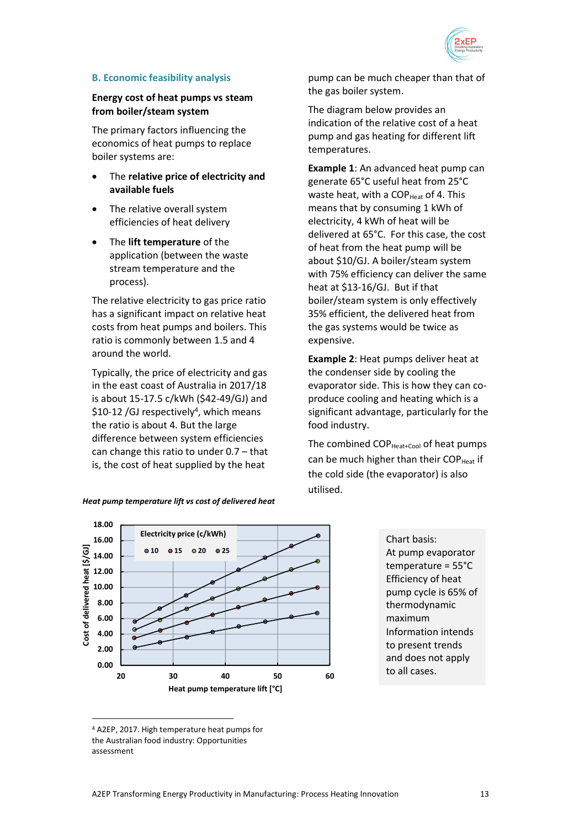

### **B. Economic feasibility analysis**

### **Energy cost of heat pumps vs steam from boiler/steam system**

The primary factors influencing the economics of heat pumps to replace boiler systems are:

- The **relative price of electricity and available fuels**
- The relative overall system efficiencies of heat delivery
- The **lift temperature** of the application (between the waste stream temperature and the process).

The relative electricity to gas price ratio has a significant impact on relative heat costs from heat pumps and boilers. This ratio is commonly between 1.5 and 4 around the world.

Typically, the price of electricity and gas in the east coast of Australia in 2017/18 is about 15-17.5 c/kWh (\$42-49/GJ) and \$10-12 /GJ respectively<sup>4</sup>, which means the ratio is about 4. But the large difference between system efficiencies can change this ratio to under 0.7 – that is, the cost of heat supplied by the heat

*Heat pump temperature lift vs cost of delivered heat*



Chart basis: At pump evaporator temperature = 55°C Efficiency of heat pump cycle is 65% of thermodynamic maximum Information intends to present trends and does not apply to all cases.

l

The diagram below provides an indication of the relative cost of a heat pump and gas heating for different lift temperatures.

**Example 1**: An advanced heat pump can generate 65°C useful heat from 25°C waste heat, with a COP $_{\text{Heat}}$  of 4. This means that by consuming 1 kWh of electricity, 4 kWh of heat will be delivered at 65°C. For this case, the cost of heat from the heat pump will be about \$10/GJ. A boiler/steam system with 75% efficiency can deliver the same heat at \$13-16/GJ. But if that boiler/steam system is only effectively 35% efficient, the delivered heat from the gas systems would be twice as expensive.

**Example 2**: Heat pumps deliver heat at the condenser side by cooling the evaporator side. This is how they can coproduce cooling and heating which is a significant advantage, particularly for the food industry.

The combined  $COP_{Heat+Cool}$  of heat pumps can be much higher than their  $COP<sub>Heat</sub>$  if the cold side (the evaporator) is also utilised.

<sup>4</sup> A2EP, 2017. High temperature heat pumps for the Australian food industry: Opportunities assessment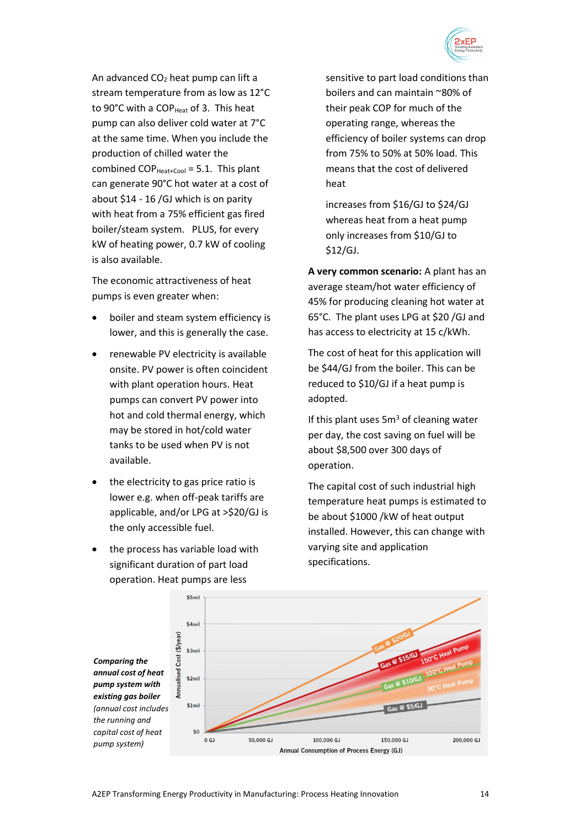

An advanced  $CO<sub>2</sub>$  heat pump can lift a stream temperature from as low as 12°C to 90°C with a COP<sub>Heat</sub> of 3. This heat pump can also deliver cold water at 7°C at the same time. When you include the production of chilled water the combined  $COP_{\text{Heat+Cool}} = 5.1$ . This plant can generate 90°C hot water at a cost of about \$14 - 16 /GJ which is on parity with heat from a 75% efficient gas fired boiler/steam system. PLUS, for every kW of heating power, 0.7 kW of cooling is also available.

The economic attractiveness of heat pumps is even greater when:

- boiler and steam system efficiency is lower, and this is generally the case.
- renewable PV electricity is available onsite. PV power is often coincident with plant operation hours. Heat pumps can convert PV power into hot and cold thermal energy, which may be stored in hot/cold water tanks to be used when PV is not available.
- the electricity to gas price ratio is lower e.g. when off-peak tariffs are applicable, and/or LPG at >\$20/GJ is the only accessible fuel.
- the process has variable load with significant duration of part load operation. Heat pumps are less

sensitive to part load conditions than boilers and can maintain ~80% of their peak COP for much of the operating range, whereas the efficiency of boiler systems can drop from 75% to 50% at 50% load. This means that the cost of delivered heat

increases from \$16/GJ to \$24/GJ whereas heat from a heat pump only increases from \$10/GJ to \$12/GJ.

**A very common scenario:** A plant has an average steam/hot water efficiency of 45% for producing cleaning hot water at 65°C. The plant uses LPG at \$20 /GJ and has access to electricity at 15 c/kWh.

The cost of heat for this application will be \$44/GJ from the boiler. This can be reduced to \$10/GJ if a heat pump is adopted.

If this plant uses  $5m<sup>3</sup>$  of cleaning water per day, the cost saving on fuel will be about \$8,500 over 300 days of operation.

The capital cost of such industrial high temperature heat pumps is estimated to be about \$1000 /kW of heat output installed. However, this can change with varying site and application specifications.

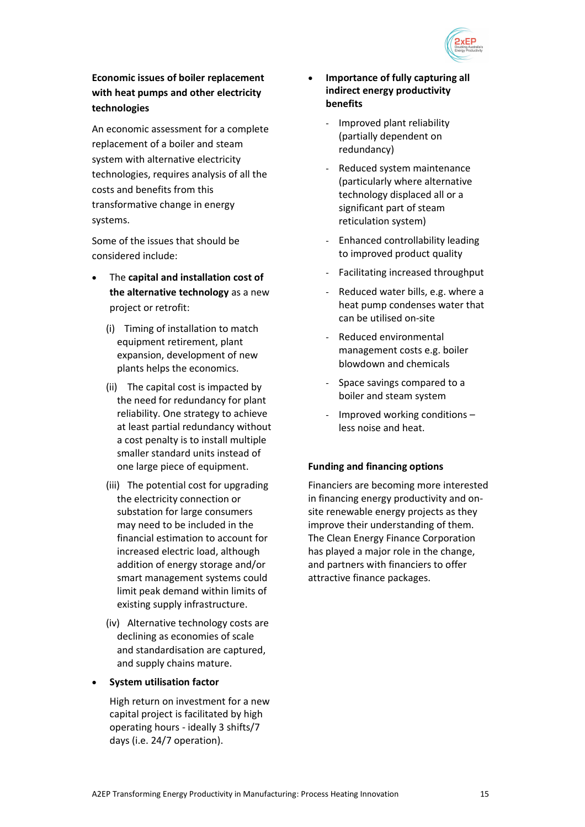

# **Economic issues of boiler replacement with heat pumps and other electricity technologies**

An economic assessment for a complete replacement of a boiler and steam system with alternative electricity technologies, requires analysis of all the costs and benefits from this transformative change in energy systems.

Some of the issues that should be considered include:

- The **capital and installation cost of the alternative technology** as a new project or retrofit:
	- (i) Timing of installation to match equipment retirement, plant expansion, development of new plants helps the economics.
	- (ii) The capital cost is impacted by the need for redundancy for plant reliability. One strategy to achieve at least partial redundancy without a cost penalty is to install multiple smaller standard units instead of one large piece of equipment.
	- (iii) The potential cost for upgrading the electricity connection or substation for large consumers may need to be included in the financial estimation to account for increased electric load, although addition of energy storage and/or smart management systems could limit peak demand within limits of existing supply infrastructure.
	- (iv) Alternative technology costs are declining as economies of scale and standardisation are captured, and supply chains mature.
- **System utilisation factor**

High return on investment for a new capital project is facilitated by high operating hours - ideally 3 shifts/7 days (i.e. 24/7 operation).

- **Importance of fully capturing all indirect energy productivity benefits**
	- Improved plant reliability (partially dependent on redundancy)
	- Reduced system maintenance (particularly where alternative technology displaced all or a significant part of steam reticulation system)
	- Enhanced controllability leading to improved product quality
	- Facilitating increased throughput
	- Reduced water bills, e.g. where a heat pump condenses water that can be utilised on-site
	- Reduced environmental management costs e.g. boiler blowdown and chemicals
	- Space savings compared to a boiler and steam system
	- Improved working conditions less noise and heat.

### **Funding and financing options**

Financiers are becoming more interested in financing energy productivity and onsite renewable energy projects as they improve their understanding of them. The Clean Energy Finance Corporation has played a major role in the change, and partners with financiers to offer attractive finance packages.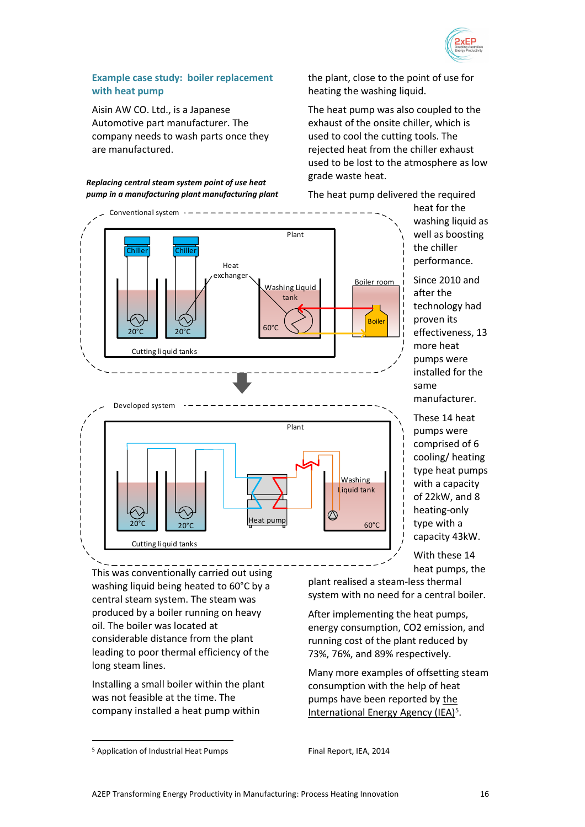

### **Example case study: boiler replacement with heat pump**

Aisin AW CO. Ltd., is a Japanese Automotive part manufacturer. The company needs to wash parts once they are manufactured.

*Replacing central steam system point of use heat pump in a manufacturing plant manufacturing plant* the plant, close to the point of use for heating the washing liquid.

The heat pump was also coupled to the exhaust of the onsite chiller, which is used to cool the cutting tools. The rejected heat from the chiller exhaust used to be lost to the atmosphere as low grade waste heat.



The heat pump delivered the required

heat for the washing liquid as well as boosting the chiller performance.

Since 2010 and after the technology had proven its effectiveness, 13 more heat pumps were installed for the same manufacturer.

These 14 heat pumps were comprised of 6 cooling/ heating type heat pumps with a capacity of 22kW, and 8 heating-only type with a capacity 43kW.

With these 14 heat pumps, the

This was conventionally carried out using washing liquid being heated to 60°C by a central steam system. The steam was produced by a boiler running on heavy oil. The boiler was located at considerable distance from the plant leading to poor thermal efficiency of the long steam lines.

Installing a small boiler within the plant was not feasible at the time. The company installed a heat pump within

After implementing the heat pumps, energy consumption, CO2 emission, and running cost of the plant reduced by 73%, 76%, and 89% respectively.

Many more examples of offsetting steam consumption with the help of heat pumps have been reported by [the](http://heatpumpingtechnologies.org/publications/application-of-industrial-heat-pumps-annex-35-two-page-summary/)  [International Energy Agency \(IEA\)](http://heatpumpingtechnologies.org/publications/application-of-industrial-heat-pumps-annex-35-two-page-summary/)<sup>5</sup>.

l

plant realised a steam-less thermal system with no need for a central boiler.

<sup>5</sup> Application of Industrial Heat Pumps

Final Report, IEA, 2014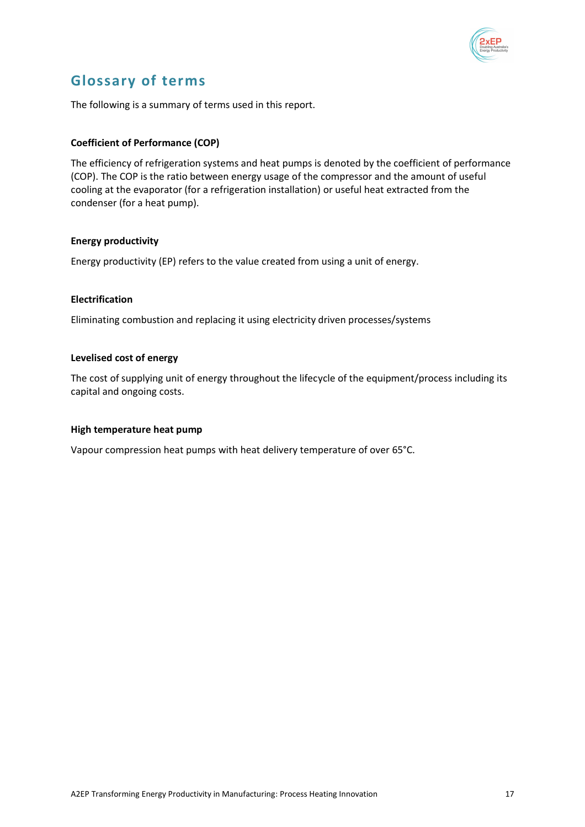

# **Glossary of terms**

The following is a summary of terms used in this report.

### **Coefficient of Performance (COP)**

The efficiency of refrigeration systems and heat pumps is denoted by the coefficient of performance (COP). The COP is the ratio between energy usage of the compressor and the amount of useful cooling at the evaporator (for a refrigeration installation) or useful heat extracted from the condenser (for a heat pump).

### **Energy productivity**

Energy productivity (EP) refers to the value created from using a unit of energy.

### **Electrification**

Eliminating combustion and replacing it using electricity driven processes/systems

#### **Levelised cost of energy**

The cost of supplying unit of energy throughout the lifecycle of the equipment/process including its capital and ongoing costs.

### **High temperature heat pump**

Vapour compression heat pumps with heat delivery temperature of over 65°C.